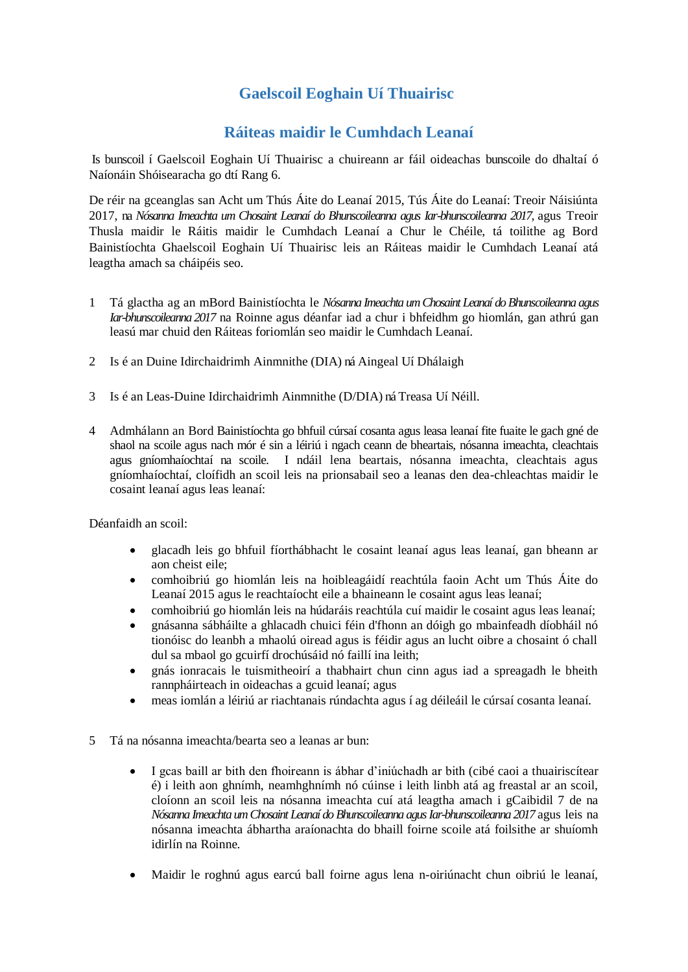## **Gaelscoil Eoghain Uí Thuairisc**

## **Ráiteas maidir le Cumhdach Leanaí**

Is bunscoil í Gaelscoil Eoghain Uí Thuairisc a chuireann ar fáil oideachas bunscoile do dhaltaí ó Naíonáin Shóisearacha go dtí Rang 6.

De réir na gceanglas san Acht um Thús Áite do Leanaí 2015, Tús Áite do Leanaí: Treoir Náisiúnta 2017, na *Nósanna Imeachta um Chosaint Leanaí do Bhunscoileanna agus Iar-bhunscoileanna 2017*, agus Treoir Thusla maidir le Ráitis maidir le Cumhdach Leanaí a Chur le Chéile, tá toilithe ag Bord Bainistíochta Ghaelscoil Eoghain Uí Thuairisc leis an Ráiteas maidir le Cumhdach Leanaí atá leagtha amach sa cháipéis seo.

- 1 Tá glactha ag an mBord Bainistíochta le *Nósanna Imeachta um Chosaint Leanaí do Bhunscoileanna agus Iar-bhunscoileanna 2017* na Roinne agus déanfar iad a chur i bhfeidhm go hiomlán, gan athrú gan leasú mar chuid den Ráiteas foriomlán seo maidir le Cumhdach Leanaí.
- 2 Is é an Duine Idirchaidrimh Ainmnithe (DIA) ná Aingeal Uí Dhálaigh
- 3 Is é an Leas-Duine Idirchaidrimh Ainmnithe (D/DIA) ná Treasa Uí Néill.
- 4 Admhálann an Bord Bainistíochta go bhfuil cúrsaí cosanta agus leasa leanaí fite fuaite le gach gné de shaol na scoile agus nach mór é sin a léiriú i ngach ceann de bheartais, nósanna imeachta, cleachtais agus gníomhaíochtaí na scoile. I ndáil lena beartais, nósanna imeachta, cleachtais agus gníomhaíochtaí, cloífidh an scoil leis na prionsabail seo a leanas den dea-chleachtas maidir le cosaint leanaí agus leas leanaí:

Déanfaidh an scoil:

- glacadh leis go bhfuil fíorthábhacht le cosaint leanaí agus leas leanaí, gan bheann ar aon cheist eile;
- comhoibriú go hiomlán leis na hoibleagáidí reachtúla faoin Acht um Thús Áite do Leanaí 2015 agus le reachtaíocht eile a bhaineann le cosaint agus leas leanaí;
- comhoibriú go hiomlán leis na húdaráis reachtúla cuí maidir le cosaint agus leas leanaí;
- gnásanna sábháilte a ghlacadh chuici féin d'fhonn an dóigh go mbainfeadh díobháil nó tionóisc do leanbh a mhaolú oiread agus is féidir agus an lucht oibre a chosaint ó chall dul sa mbaol go gcuirfí drochúsáid nó faillí ina leith;
- gnás ionracais le tuismitheoirí a thabhairt chun cinn agus iad a spreagadh le bheith rannpháirteach in oideachas a gcuid leanaí; agus
- meas iomlán a léiriú ar riachtanais rúndachta agus í ag déileáil le cúrsaí cosanta leanaí.
- 5 Tá na nósanna imeachta/bearta seo a leanas ar bun:
	- I gcas baill ar bith den fhoireann is ábhar d'iniúchadh ar bith (cibé caoi a thuairiscítear é) i leith aon ghnímh, neamhghnímh nó cúinse i leith linbh atá ag freastal ar an scoil, cloíonn an scoil leis na nósanna imeachta cuí atá leagtha amach i gCaibidil 7 de na *Nósanna Imeachta um Chosaint Leanaí do Bhunscoileanna agus Iar-bhunscoileanna 2017* agus leis na nósanna imeachta ábhartha araíonachta do bhaill foirne scoile atá foilsithe ar shuíomh idirlín na Roinne.
	- Maidir le roghnú agus earcú ball foirne agus lena n-oiriúnacht chun oibriú le leanaí,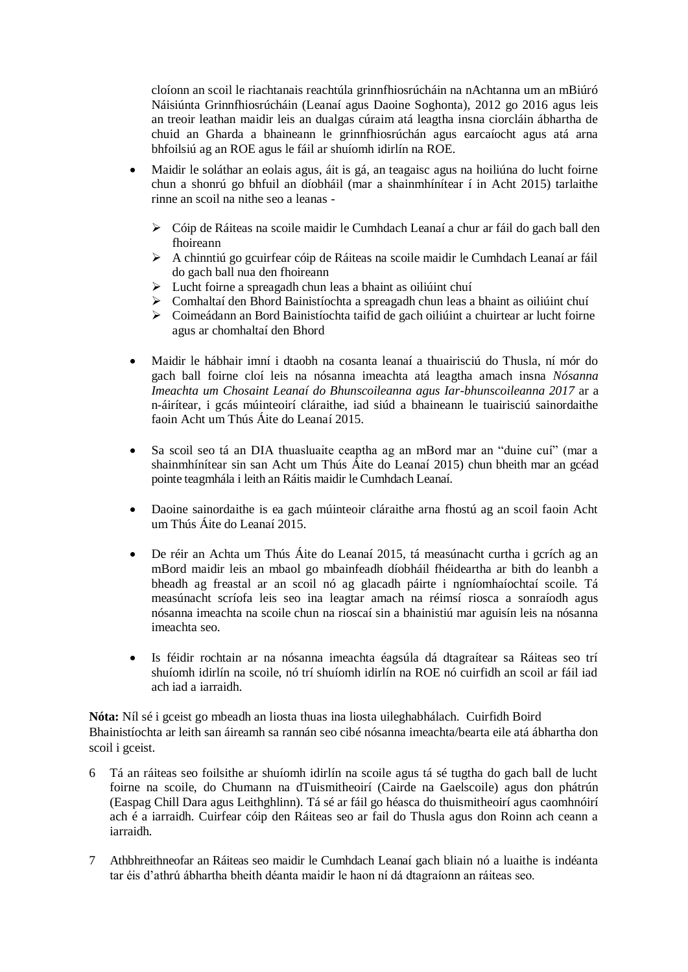cloíonn an scoil le riachtanais reachtúla grinnfhiosrúcháin na nAchtanna um an mBiúró Náisiúnta Grinnfhiosrúcháin (Leanaí agus Daoine Soghonta), 2012 go 2016 agus leis an treoir leathan maidir leis an dualgas cúraim atá leagtha insna ciorcláin ábhartha de chuid an Gharda a bhaineann le grinnfhiosrúchán agus earcaíocht agus atá arna bhfoilsiú ag an ROE agus le fáil ar shuíomh idirlín na ROE.

- Maidir le soláthar an eolais agus, áit is gá, an teagaisc agus na hoiliúna do lucht foirne chun a shonrú go bhfuil an díobháil (mar a shainmhínítear í in Acht 2015) tarlaithe rinne an scoil na nithe seo a leanas -
	- Cóip de Ráiteas na scoile maidir le Cumhdach Leanaí a chur ar fáil do gach ball den fhoireann
	- A chinntiú go gcuirfear cóip de Ráiteas na scoile maidir le Cumhdach Leanaí ar fáil do gach ball nua den fhoireann
	- Lucht foirne a spreagadh chun leas a bhaint as oiliúint chuí
	- $\triangleright$  Comhaltaí den Bhord Bainistíochta a spreagadh chun leas a bhaint as oiliúint chuí
	- Coimeádann an Bord Bainistíochta taifid de gach oiliúint a chuirtear ar lucht foirne agus ar chomhaltaí den Bhord
- Maidir le hábhair imní i dtaobh na cosanta leanaí a thuairisciú do Thusla, ní mór do gach ball foirne cloí leis na nósanna imeachta atá leagtha amach insna *Nósanna Imeachta um Chosaint Leanaí do Bhunscoileanna agus Iar-bhunscoileanna 2017* ar a n-áirítear, i gcás múinteoirí cláraithe, iad siúd a bhaineann le tuairisciú sainordaithe faoin Acht um Thús Áite do Leanaí 2015.
- Sa scoil seo tá an DIA thuasluaite ceaptha ag an mBord mar an "duine cuí" (mar a shainmhínítear sin san Acht um Thús Áite do Leanaí 2015) chun bheith mar an gcéad pointe teagmhála i leith an Ráitis maidir le Cumhdach Leanaí.
- Daoine sainordaithe is ea gach múinteoir cláraithe arna fhostú ag an scoil faoin Acht um Thús Áite do Leanaí 2015.
- De réir an Achta um Thús Áite do Leanaí 2015, tá measúnacht curtha i gcrích ag an mBord maidir leis an mbaol go mbainfeadh díobháil fhéideartha ar bith do leanbh a bheadh ag freastal ar an scoil nó ag glacadh páirte i ngníomhaíochtaí scoile. Tá measúnacht scríofa leis seo ina leagtar amach na réimsí riosca a sonraíodh agus nósanna imeachta na scoile chun na rioscaí sin a bhainistiú mar aguisín leis na nósanna imeachta seo.
- Is féidir rochtain ar na nósanna imeachta éagsúla dá dtagraítear sa Ráiteas seo trí shuíomh idirlín na scoile, nó trí shuíomh idirlín na ROE nó cuirfidh an scoil ar fáil iad ach iad a iarraidh.

**Nóta:** Níl sé i gceist go mbeadh an liosta thuas ina liosta uileghabhálach. Cuirfidh Boird Bhainistíochta ar leith san áireamh sa rannán seo cibé nósanna imeachta/bearta eile atá ábhartha don scoil i gceist.

- 6 Tá an ráiteas seo foilsithe ar shuíomh idirlín na scoile agus tá sé tugtha do gach ball de lucht foirne na scoile, do Chumann na dTuismitheoirí (Cairde na Gaelscoile) agus don phátrún (Easpag Chill Dara agus Leithghlinn). Tá sé ar fáil go héasca do thuismitheoirí agus caomhnóirí ach é a iarraidh. Cuirfear cóip den Ráiteas seo ar fail do Thusla agus don Roinn ach ceann a iarraidh.
- 7 Athbhreithneofar an Ráiteas seo maidir le Cumhdach Leanaí gach bliain nó a luaithe is indéanta tar éis d'athrú ábhartha bheith déanta maidir le haon ní dá dtagraíonn an ráiteas seo.